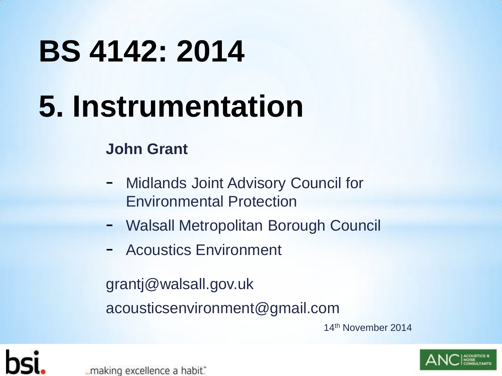# **BS 4142: 2014**

# **5. Instrumentation**

#### **John Grant**

- Midlands Joint Advisory Council for Environmental Protection
- Walsall Metropolitan Borough Council
- Acoustics Environment

grantj@walsall.gov.uk acousticsenvironment@gmail.com

14th November 2014



"...making excellence a habit."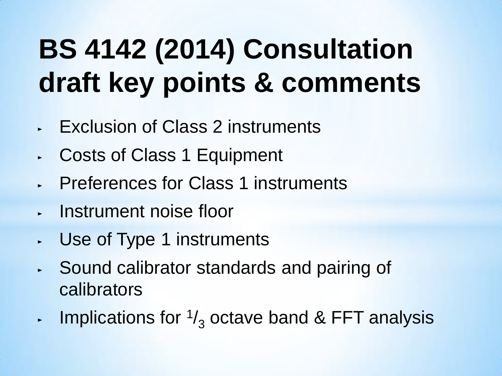## **BS 4142 (2014) Consultation draft key points & comments**

- ► Exclusion of Class 2 instruments
- ► Costs of Class 1 Equipment
- ► Preferences for Class 1 instruments
- ► Instrument noise floor
- ► Use of Type 1 instruments
- ► Sound calibrator standards and pairing of calibrators
- $\blacksquare$  Implications for  $\frac{1}{3}$  octave band & FFT analysis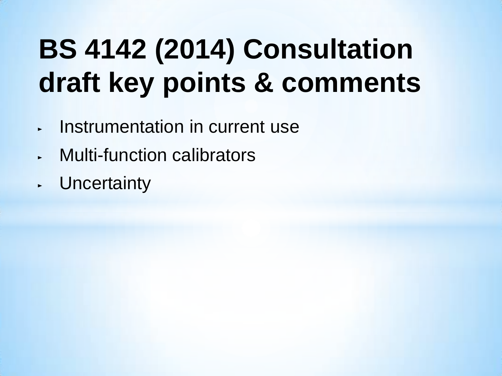## **BS 4142 (2014) Consultation draft key points & comments**

- ► Instrumentation in current use
- Multi-function calibrators
- **Uncertainty**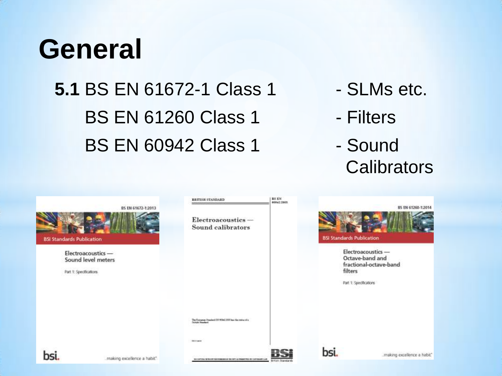### **General**

### **5.1 BS EN 61672-1 Class 1 - SLMs etc.** BS EN 61260 Class 1 - Filters BS EN 60942 Class 1 - Sound

- 
- 
- **Calibrators**

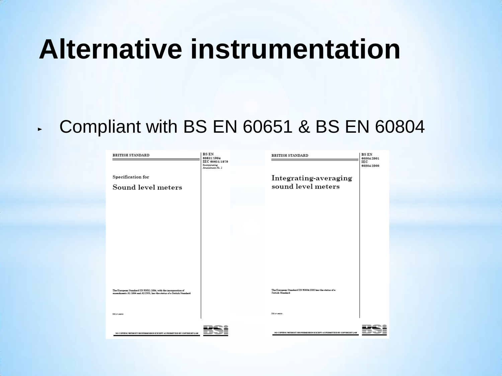### **Alternative instrumentation**

#### ► Compliant with BS EN 60651 & BS EN 60804

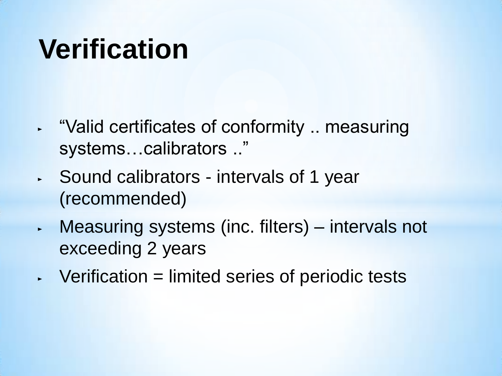### **Verification**

- ► "Valid certificates of conformity .. measuring systems…calibrators .."
- ► Sound calibrators intervals of 1 year (recommended)
- ► Measuring systems (inc. filters) intervals not exceeding 2 years
- $\sim$  Verification = limited series of periodic tests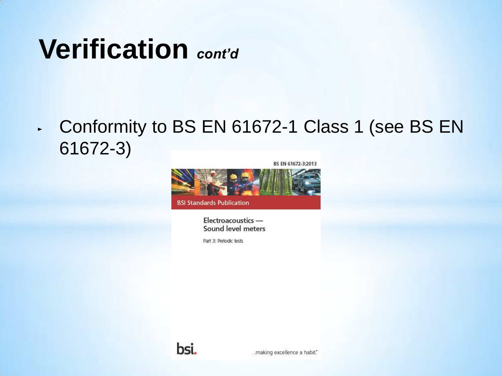### **Verification** *cont'd*

#### ► Conformity to BS EN 61672-1 Class 1 (see BS EN 61672-3)



**BSI Standards Publication** 

Electroacoustics -Sound level meters

Part 3: Periodic tests

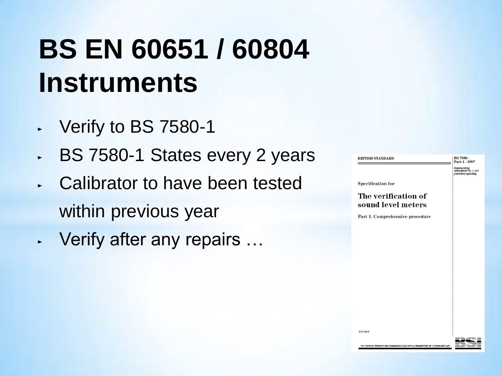### **BS EN 60651 / 60804 Instruments**

- ► Verify to BS 7580-1
- ► BS 7580-1 States every 2 years
- ► Calibrator to have been tested within previous year
- ► Verify after any repairs …

| <b>BRITISH STANDARD</b>                   | BS 7580:<br>Part 1:1997                                      |
|-------------------------------------------|--------------------------------------------------------------|
|                                           | Implementing<br>Amendment No. 1, not<br>published separately |
| Specification for                         |                                                              |
| The verification of<br>sound level meters |                                                              |
| Part 1. Comprehensive procedure           |                                                              |
|                                           |                                                              |
|                                           |                                                              |
|                                           |                                                              |
|                                           |                                                              |
|                                           |                                                              |
|                                           |                                                              |
|                                           |                                                              |
|                                           |                                                              |
|                                           |                                                              |
| ICS (7.148.69)                            |                                                              |
|                                           |                                                              |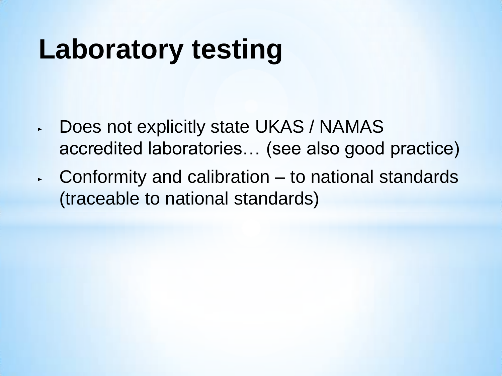### **Laboratory testing**

- ► Does not explicitly state UKAS / NAMAS accredited laboratories… (see also good practice)
- $\sim$  Conformity and calibration to national standards (traceable to national standards)